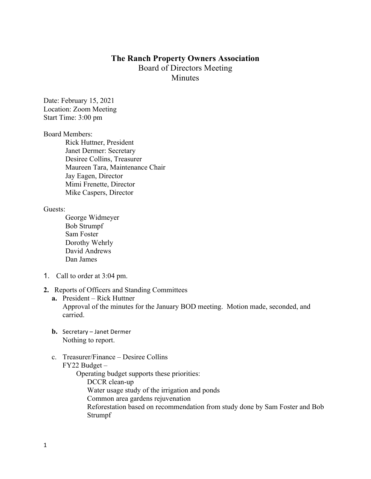# **The Ranch Property Owners Association** Board of Directors Meeting **Minutes**

Date: February 15, 2021 Location: Zoom Meeting Start Time: 3:00 pm

### Board Members:

Rick Huttner, President Janet Dermer: Secretary Desiree Collins, Treasurer Maureen Tara, Maintenance Chair Jay Eagen, Director Mimi Frenette, Director Mike Caspers, Director

#### Guests:

George Widmeyer Bob Strumpf Sam Foster Dorothy Wehrly David Andrews Dan James

- 1. Call to order at 3:04 pm.
- **2.** Reports of Officers and Standing Committees
	- **a.** President Rick Huttner Approval of the minutes for the January BOD meeting. Motion made, seconded, and carried.
	- **b.** Secretary Janet Dermer Nothing to report.
	- c. Treasurer/Finance Desiree Collins FY22 Budget – Operating budget supports these priorities: DCCR clean-up Water usage study of the irrigation and ponds Common area gardens rejuvenation Reforestation based on recommendation from study done by Sam Foster and Bob Strumpf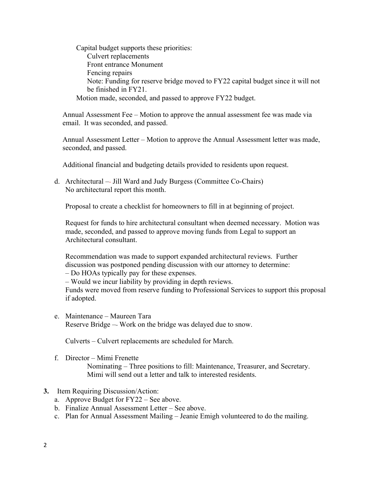Capital budget supports these priorities: Culvert replacements Front entrance Monument Fencing repairs Note: Funding for reserve bridge moved to FY22 capital budget since it will not be finished in FY21. Motion made, seconded, and passed to approve FY22 budget.

Annual Assessment Fee – Motion to approve the annual assessment fee was made via email. It was seconded, and passed.

Annual Assessment Letter – Motion to approve the Annual Assessment letter was made, seconded, and passed.

Additional financial and budgeting details provided to residents upon request.

d. Architectural – Jill Ward and Judy Burgess (Committee Co-Chairs) No architectural report this month.

Proposal to create a checklist for homeowners to fill in at beginning of project.

Request for funds to hire architectural consultant when deemed necessary. Motion was made, seconded, and passed to approve moving funds from Legal to support an Architectural consultant.

Recommendation was made to support expanded architectural reviews. Further discussion was postponed pending discussion with our attorney to determine:

– Do HOAs typically pay for these expenses.

– Would we incur liability by providing in depth reviews.

Funds were moved from reserve funding to Professional Services to support this proposal if adopted.

e. Maintenance – Maureen Tara Reserve Bridge – Work on the bridge was delayed due to snow.

Culverts – Culvert replacements are scheduled for March.

f. Director – Mimi Frenette Nominating – Three positions to fill: Maintenance, Treasurer, and Secretary. Mimi will send out a letter and talk to interested residents.

## **3.** Item Requiring Discussion/Action:

- a. Approve Budget for FY22 See above.
- b. Finalize Annual Assessment Letter See above.
- c. Plan for Annual Assessment Mailing Jeanie Emigh volunteered to do the mailing.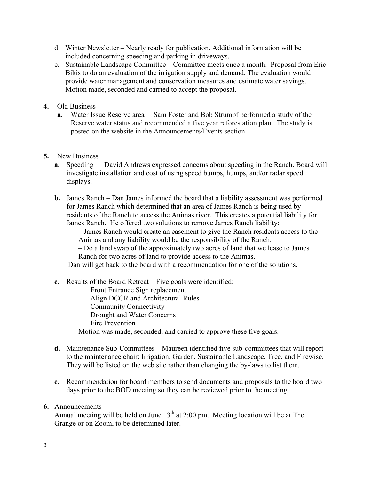- d. Winter Newsletter Nearly ready for publication. Additional information will be included concerning speeding and parking in driveways.
- e. Sustainable Landscape Committee Committee meets once a month. Proposal from Eric Bikis to do an evaluation of the irrigation supply and demand. The evaluation would provide water management and conservation measures and estimate water savings. Motion made, seconded and carried to accept the proposal.
- **4.** Old Business
	- **a.** Water Issue Reserve area Sam Foster and Bob Strumpf performed a study of the Reserve water status and recommended a five year reforestation plan. The study is posted on the website in the Announcements/Events section.
- **5.** New Business
	- **a.** Speeding David Andrews expressed concerns about speeding in the Ranch. Board will investigate installation and cost of using speed bumps, humps, and/or radar speed displays.
	- **b.** James Ranch Dan James informed the board that a liability assessment was performed for James Ranch which determined that an area of James Ranch is being used by residents of the Ranch to access the Animas river. This creates a potential liability for James Ranch. He offered two solutions to remove James Ranch liability:

– James Ranch would create an easement to give the Ranch residents access to the Animas and any liability would be the responsibility of the Ranch.

– Do a land swap of the approximately two acres of land that we lease to James Ranch for two acres of land to provide access to the Animas.

Dan will get back to the board with a recommendation for one of the solutions.

- **c.** Results of the Board Retreat Five goals were identified: Front Entrance Sign replacement Align DCCR and Architectural Rules Community Connectivity Drought and Water Concerns Fire Prevention Motion was made, seconded, and carried to approve these five goals.
- **d.** Maintenance Sub-Committees Maureen identified five sub-committees that will report to the maintenance chair: Irrigation, Garden, Sustainable Landscape, Tree, and Firewise. They will be listed on the web site rather than changing the by-laws to list them.
- **e.** Recommendation for board members to send documents and proposals to the board two days prior to the BOD meeting so they can be reviewed prior to the meeting.

## **6.** Announcements

Annual meeting will be held on June  $13<sup>th</sup>$  at 2:00 pm. Meeting location will be at The Grange or on Zoom, to be determined later.